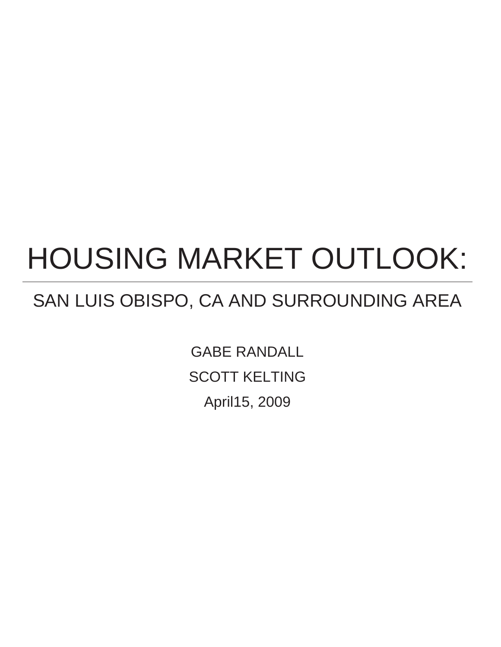# HOUSING MARKET OUTLOOK:

## SAN LUIS OBISPO, CA AND SURROUNDING AREA

GABE RANDALL SCOTT KELTING April15, 2009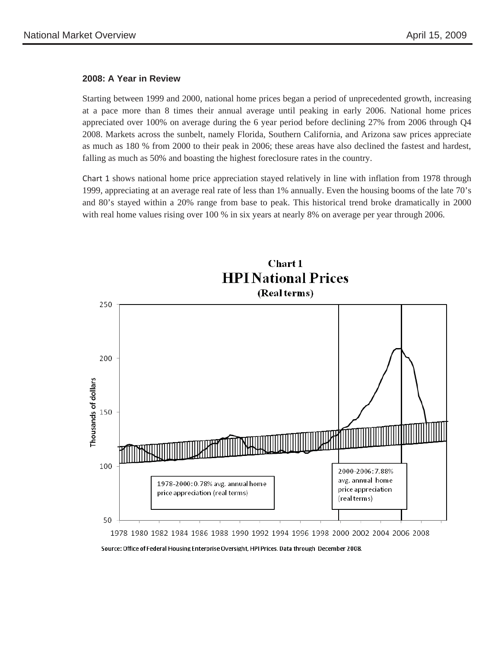#### **2008: A Year in Review**

Starting between 1999 and 2000, national home prices began a period of unprecedented growth, increasing at a pace more than 8 times their annual average until peaking in early 2006. National home prices appreciated over 100% on average during the 6 year period before declining 27% from 2006 through Q4 2008. Markets across the sunbelt, namely Florida, Southern California, and Arizona saw prices appreciate as much as 180 % from 2000 to their peak in 2006; these areas have also declined the fastest and hardest, falling as much as 50% and boasting the highest foreclosure rates in the country.

Chart 1 shows national home price appreciation stayed relatively in line with inflation from 1978 through 1999, appreciating at an average real rate of less than 1% annually. Even the housing booms of the late 70's and 80's stayed within a 20% range from base to peak. This historical trend broke dramatically in 2000 with real home values rising over 100 % in six years at nearly 8% on average per year through 2006.



Source: Office of Federal Housing Enterprise Oversight, HPI Prices. Data through December 2008.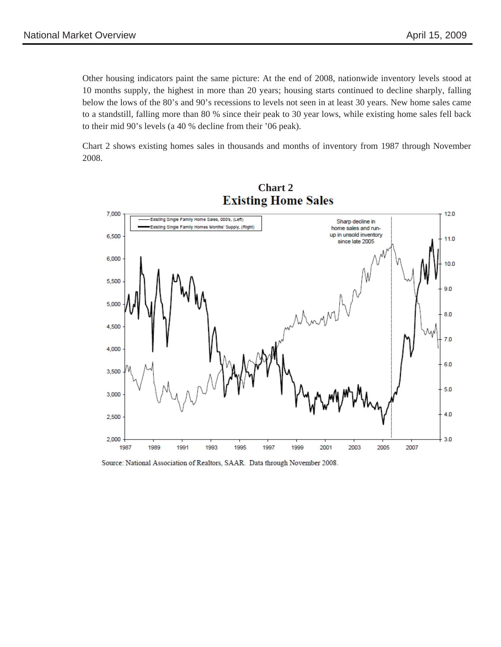Other housing indicators paint the same picture: At the end of 2008, nationwide inventory levels stood at 10 months supply, the highest in more than 20 years; housing starts continued to decline sharply, falling below the lows of the 80's and 90's recessions to levels not seen in at least 30 years. New home sales came to a standstill, falling more than 80 % since their peak to 30 year lows, while existing home sales fell back to their mid 90's levels (a 40 % decline from their '06 peak).

Chart 2 shows existing homes sales in thousands and months of inventory from 1987 through November 2008.



Source: National Association of Realtors, SAAR. Data through November 2008.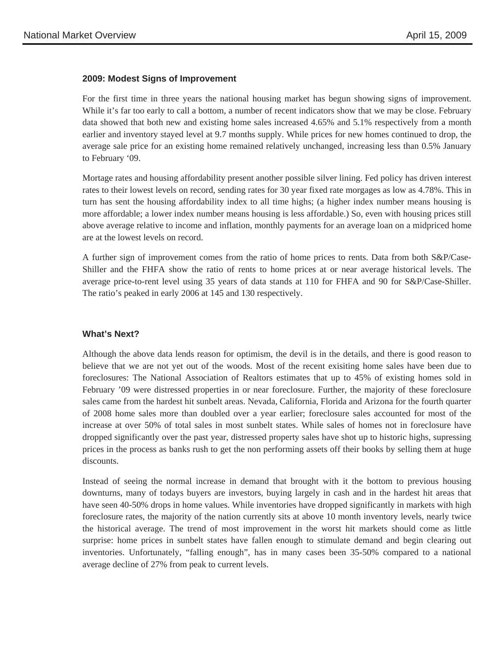#### **2009: Modest Signs of Improvement**

For the first time in three years the national housing market has begun showing signs of improvement. While it's far too early to call a bottom, a number of recent indicators show that we may be close. February data showed that both new and existing home sales increased 4.65% and 5.1% respectively from a month earlier and inventory stayed level at 9.7 months supply. While prices for new homes continued to drop, the average sale price for an existing home remained relatively unchanged, increasing less than 0.5% January to February '09.

Mortage rates and housing affordability present another possible silver lining. Fed policy has driven interest rates to their lowest levels on record, sending rates for 30 year fixed rate morgages as low as 4.78%. This in turn has sent the housing affordability index to all time highs; (a higher index number means housing is more affordable; a lower index number means housing is less affordable.) So, even with housing prices still above average relative to income and inflation, monthly payments for an average loan on a midpriced home are at the lowest levels on record.

 average price-to-rent level using 35 years of data stands at 110 for FHFA and 90 for S&P/Case-Shiller. The ratio's peaked in early 2006 at 145 and 130 respectively. A further sign of improvement comes from the ratio of home prices to rents. Data from both S&P/Case-Shiller and the FHFA show the ratio of rents to home prices at or near average historical levels. The

### **What's Next?**

Although the above data lends reason for optimism, the devil is in the details, and there is good reason to believe that we are not yet out of the woods. Most of the recent exisiting home sales have been due to foreclosures: The National Association of Realtors estimates that up to 45% of existing homes sold in February '09 were distressed properties in or near foreclosure. Further, the majority of these foreclosure sales came from the hardest hit sunbelt areas. Nevada, California, Florida and Arizona for the fourth quarter of 2008 home sales more than doubled over a year earlier; foreclosure sales accounted for most of the increase at over 50% of total sales in most sunbelt states. While sales of homes not in foreclosure have dropped significantly over the past year, distressed property sales have shot up to historic highs, supressing prices in the process as banks rush to get the non performing assets off their books by selling them at huge discounts.

Instead of seeing the normal increase in demand that brought with it the bottom to previous housing downturns, many of todays buyers are investors, buying largely in cash and in the hardest hit areas that have seen 40-50% drops in home values. While inventories have dropped significantly in markets with high foreclosure rates, the majority of the nation currently sits at above 10 month inventory levels, nearly twice the historical average. The trend of most improvement in the worst hit markets should come as little surprise: home prices in sunbelt states have fallen enough to stimulate demand and begin clearing out inventories. Unfortunately, "falling enough", has in many cases been 35-50% compared to a national average decline of 27% from peak to current levels.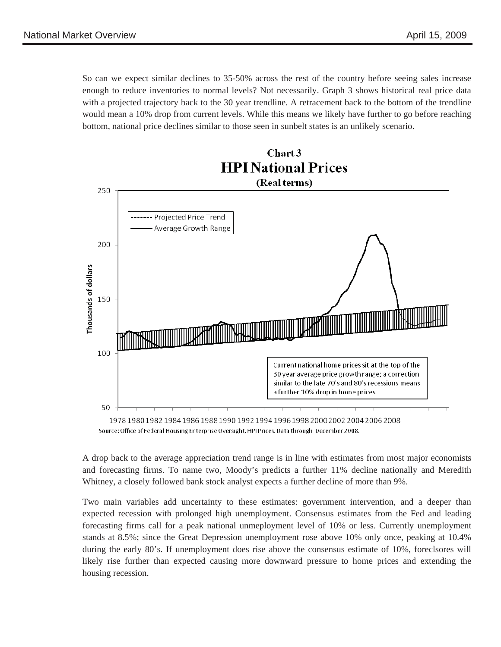So can we expect similar declines to 35-50% across the rest of the country before seeing sales increase enough to reduce inventories to normal levels? Not necessarily. Graph 3 shows historical real price data with a projected trajectory back to the 30 year trendline. A retracement back to the bottom of the trendline would mean a 10% drop from current levels. While this means we likely have further to go before reaching bottom, national price declines similar to those seen in sunbelt states is an unlikely scenario.

Chart 3



Source: Office of Federal Housing Enterprise Oversight, HPI Prices. Data through December 2008.

A drop back to the average appreciation trend range is in line with estimates from most major economists and forecasting firms. To name two, Moody's predicts a further 11% decline nationally and Meredith Whitney, a closely followed bank stock analyst expects a further decline of more than 9%.

Two main variables add uncertainty to these estimates: government intervention, and a deeper than expected recession with prolonged high unemployment. Consensus estimates from the Fed and leading forecasting firms call for a peak national unmeployment level of 10% or less. Currently unemployment stands at 8.5%; since the Great Depression unemployment rose above 10% only once, peaking at 10.4% during the early 80's. If unemployment does rise above the consensus estimate of 10%, foreclsores will likely rise further than expected causing more downward pressure to home prices and extending the housing recession.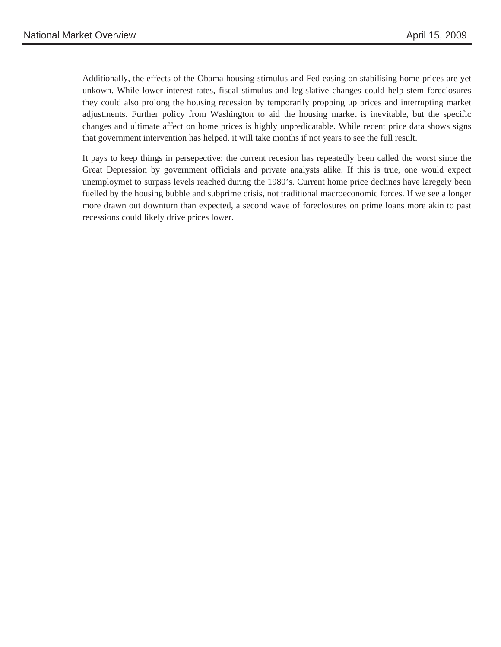Additionally, the effects of the Obama housing stimulus and Fed easing on stabilising home prices are yet unkown. While lower interest rates, fiscal stimulus and legislative changes could help stem foreclosures they could also prolong the housing recession by temporarily propping up prices and interrupting market adjustments. Further policy from Washington to aid the housing market is inevitable, but the specific changes and ultimate affect on home prices is highly unpredicatable. While recent price data shows signs that government intervention has helped, it will take months if not years to see the full result.

It pays to keep things in persepective: the current recesion has repeatedly been called the worst since the Great Depression by government officials and private analysts alike. If this is true, one would expect unemploymet to surpass levels reached during the 1980's. Current home price declines have laregely been fuelled by the housing bubble and subprime crisis, not traditional macroeconomic forces. If we see a longer more drawn out downturn than expected, a second wave of foreclosures on prime loans more akin to past recessions could likely drive prices lower.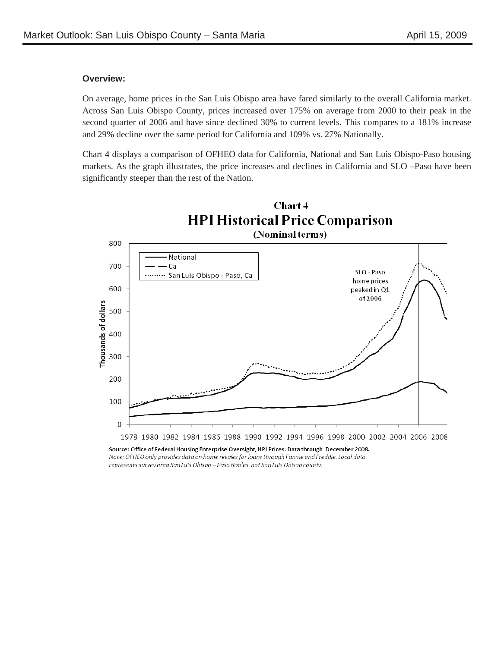#### **Overview:**

On average, home prices in the San Luis Obispo area have fared similarly to the overall California market. Across San Luis Obispo County, prices increased over 175% on average from 2000 to their peak in the second quarter of 2006 and have since declined 30% to current levels. This compares to a 181% increase and 29% decline over the same period for California and 109% vs. 27% Nationally.

Chart 4 displays a comparison of OFHEO data for California, National and San Luis Obispo-Paso housing markets. As the graph illustrates, the price increases and declines in California and SLO –Paso have been significantly steeper than the rest of the Nation.



Note: OFHEO only provides data on home resales for loans through Fannie and Freddie. Local data represents survey area San Luis Obispo - Paso Robles, not San Luis Obispo county.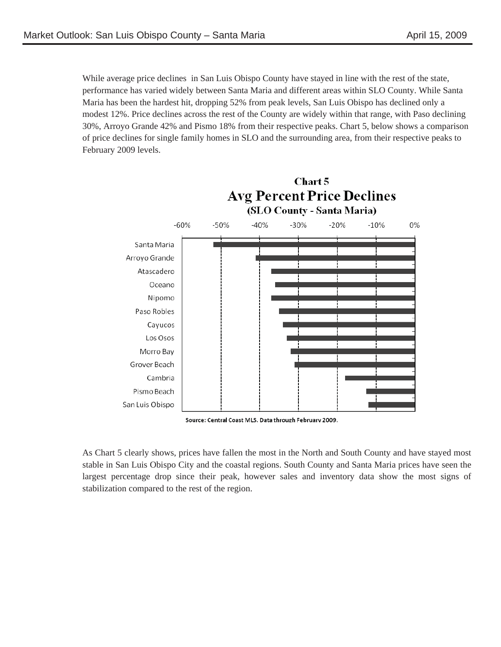While average price declines in San Luis Obispo County have stayed in line with the rest of the state, performance has varied widely between Santa Maria and different areas within SLO County. While Santa Maria has been the hardest hit, dropping 52% from peak levels, San Luis Obispo has declined only a modest 12%. Price declines across the rest of the County are widely within that range, with Paso declining 30%, Arroyo Grande 42% and Pismo 18% from their respective peaks. Chart 5, below shows a comparison of price declines for single family homes in SLO and the surrounding area, from their respective peaks to February 2009 levels.



Source: Central Coast MLS. Data through February 2009.

As Chart 5 clearly shows, prices have fallen the most in the North and South County and have stayed most stable in San Luis Obispo City and the coastal regions. South County and Santa Maria prices have seen the largest percentage drop since their peak, however sales and inventory data show the most signs of stabilization compared to the rest of the region.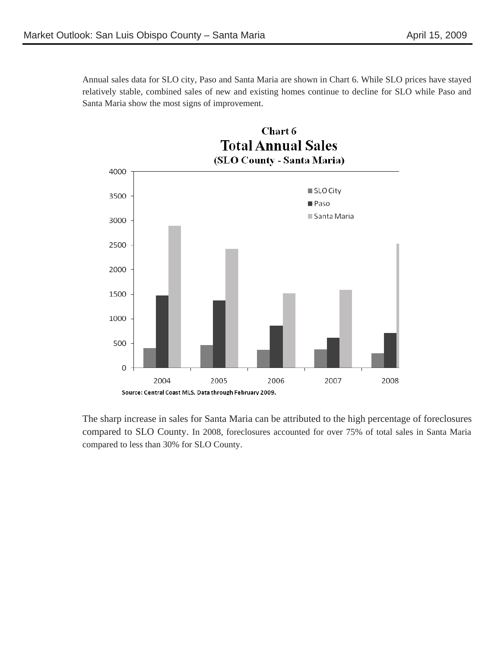Annual sales data for SLO city, Paso and Santa Maria are shown in Chart 6. While SLO prices have stayed relatively stable, combined sales of new and existing homes continue to decline for SLO while Paso and Santa Maria show the most signs of improvement.



 compared to less than 30% for SLO County. The sharp increase in sales for Santa Maria can be attributed to the high percentage of foreclosures compared to SLO County. In 2008, foreclosures accounted for over 75% of total sales in Santa Maria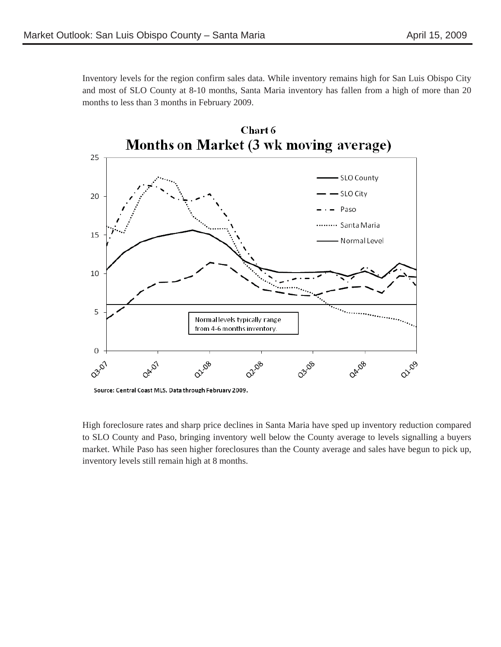Inventory levels for the region confirm sales data. While inventory remains high for San Luis Obispo City and most of SLO County at 8-10 months, Santa Maria inventory has fallen from a high of more than 20 months to less than 3 months in February 2009.



Source: Central Coast MLS. Data through February 2009.

High foreclosure rates and sharp price declines in Santa Maria have sped up inventory reduction compared to SLO County and Paso, bringing inventory well below the County average to levels signalling a buyers market. While Paso has seen higher foreclosures than the County average and sales have begun to pick up, inventory levels still remain high at 8 months.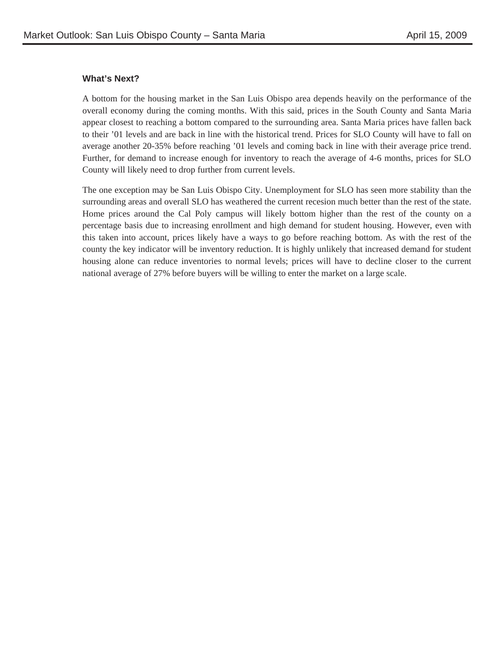#### **What's Next?**

A bottom for the housing market in the San Luis Obispo area depends heavily on the performance of the overall economy during the coming months. With this said, prices in the South County and Santa Maria appear closest to reaching a bottom compared to the surrounding area. Santa Maria prices have fallen back to their '01 levels and are back in line with the historical trend. Prices for SLO County will have to fall on average another 20-35% before reaching '01 levels and coming back in line with their average price trend. Further, for demand to increase enough for inventory to reach the average of 4-6 months, prices for SLO County will likely need to drop further from current levels.

The one exception may be San Luis Obispo City. Unemployment for SLO has seen more stability than the surrounding areas and overall SLO has weathered the current recesion much better than the rest of the state. Home prices around the Cal Poly campus will likely bottom higher than the rest of the county on a percentage basis due to increasing enrollment and high demand for student housing. However, even with this taken into account, prices likely have a ways to go before reaching bottom. As with the rest of the county the key indicator will be inventory reduction. It is highly unlikely that increased demand for student housing alone can reduce inventories to normal levels; prices will have to decline closer to the current national average of 27% before buyers will be willing to enter the market on a large scale.